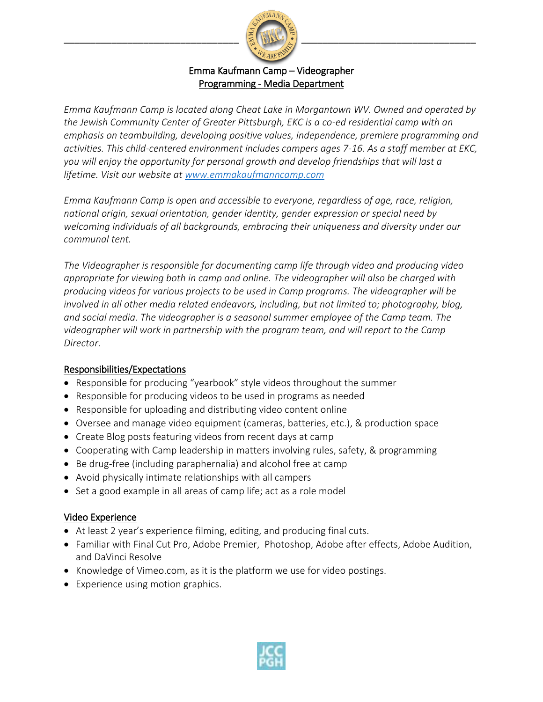

### Emma Kaufmann Camp – Videographer Programming - Media Department

*Emma Kaufmann Camp is located along Cheat Lake in Morgantown WV. Owned and operated by the Jewish Community Center of Greater Pittsburgh, EKC is a co-ed residential camp with an emphasis on teambuilding, developing positive values, independence, premiere programming and activities. This child-centered environment includes campers ages 7-16. As a staff member at EKC, you will enjoy the opportunity for personal growth and develop friendships that will last a lifetime. Visit our website at [www.emmakaufmanncamp.com](http://www.emmakaufmanncamp.com/)*

*Emma Kaufmann Camp is open and accessible to everyone, regardless of age, race, religion, national origin, sexual orientation, gender identity, gender expression or special need by welcoming individuals of all backgrounds, embracing their uniqueness and diversity under our communal tent.*

*The Videographer is responsible for documenting camp life through video and producing video appropriate for viewing both in camp and online. The videographer will also be charged with producing videos for various projects to be used in Camp programs. The videographer will be involved in all other media related endeavors, including, but not limited to; photography, blog, and social media. The videographer is a seasonal summer employee of the Camp team. The videographer will work in partnership with the program team, and will report to the Camp Director.* 

#### Responsibilities/Expectations

- Responsible for producing "yearbook" style videos throughout the summer
- Responsible for producing videos to be used in programs as needed
- Responsible for uploading and distributing video content online
- Oversee and manage video equipment (cameras, batteries, etc.), & production space
- Create Blog posts featuring videos from recent days at camp
- Cooperating with Camp leadership in matters involving rules, safety, & programming
- Be drug-free (including paraphernalia) and alcohol free at camp
- Avoid physically intimate relationships with all campers
- Set a good example in all areas of camp life; act as a role model

#### Video Experience

- At least 2 year's experience filming, editing, and producing final cuts.
- Familiar with Final Cut Pro, Adobe Premier, Photoshop, Adobe after effects, Adobe Audition, and DaVinci Resolve
- $\bullet$  Knowledge of Vimeo.com, as it is the platform we use for video postings.
- Experience using motion graphics.